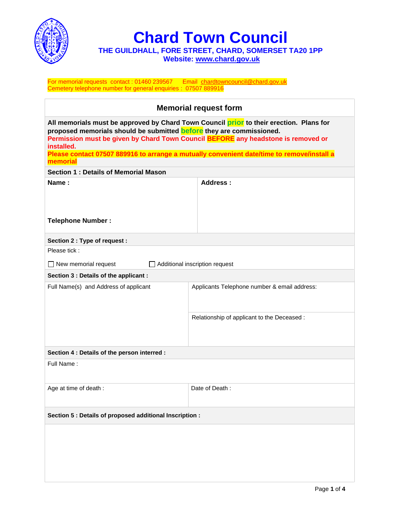

**Chard Town Council**

**THE GUILDHALL, FORE STREET, CHARD, SOMERSET TA20 1PP Website: [www.chard.gov.uk](http://www.chard.gov.uk/)** 

For memorial requests contact : 01460 239567 Email [chardtowncouncil@chard.gov.uk](mailto:chardtowncouncil@chard.gov.uk) Cemetery telephone number for general enquiries : 07507 889916

| <b>Memorial request form</b>                                                                                                                                                                                                                                       |                                              |  |  |  |
|--------------------------------------------------------------------------------------------------------------------------------------------------------------------------------------------------------------------------------------------------------------------|----------------------------------------------|--|--|--|
| All memorials must be approved by Chard Town Council prior to their erection. Plans for<br>proposed memorials should be submitted before they are commissioned.<br>Permission must be given by Chard Town Council BEFORE any headstone is removed or<br>installed. |                                              |  |  |  |
| Please contact 07507 889916 to arrange a mutually convenient date/time to remove/install a<br>memorial                                                                                                                                                             |                                              |  |  |  |
| <b>Section 1: Details of Memorial Mason</b>                                                                                                                                                                                                                        |                                              |  |  |  |
| Name:                                                                                                                                                                                                                                                              | Address:                                     |  |  |  |
| <b>Telephone Number:</b>                                                                                                                                                                                                                                           |                                              |  |  |  |
| Section 2 : Type of request :                                                                                                                                                                                                                                      |                                              |  |  |  |
| Please tick:                                                                                                                                                                                                                                                       |                                              |  |  |  |
| New memorial request<br>$\Box$ Additional inscription request<br>$\Box$                                                                                                                                                                                            |                                              |  |  |  |
| Section 3 : Details of the applicant :                                                                                                                                                                                                                             |                                              |  |  |  |
| Full Name(s) and Address of applicant                                                                                                                                                                                                                              | Applicants Telephone number & email address: |  |  |  |
|                                                                                                                                                                                                                                                                    | Relationship of applicant to the Deceased :  |  |  |  |
| Section 4 : Details of the person interred :                                                                                                                                                                                                                       |                                              |  |  |  |
| Full Name:                                                                                                                                                                                                                                                         |                                              |  |  |  |
| Age at time of death :                                                                                                                                                                                                                                             | Date of Death:                               |  |  |  |
| Section 5 : Details of proposed additional Inscription :                                                                                                                                                                                                           |                                              |  |  |  |
|                                                                                                                                                                                                                                                                    |                                              |  |  |  |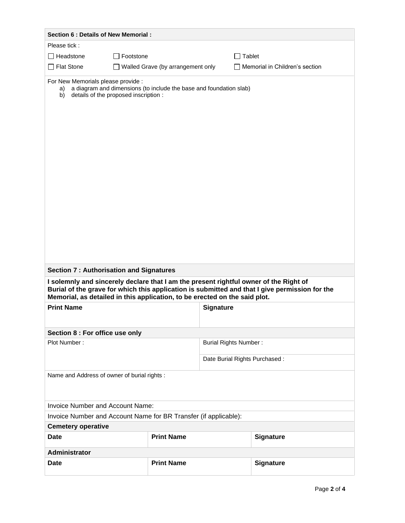| Section 6 : Details of New Memorial :                                                                                                                                                                                                                                 |                   |                               |                  |  |
|-----------------------------------------------------------------------------------------------------------------------------------------------------------------------------------------------------------------------------------------------------------------------|-------------------|-------------------------------|------------------|--|
| Please tick:                                                                                                                                                                                                                                                          |                   |                               |                  |  |
| Footstone<br>Headstone<br>$\mathbf{I}$                                                                                                                                                                                                                                |                   | $\Box$ Tablet                 |                  |  |
| <b>Flat Stone</b>                                                                                                                                                                                                                                                     |                   |                               |                  |  |
| Memorial in Children's section<br>$\Box$ Walled Grave (by arrangement only<br>For New Memorials please provide :<br>a diagram and dimensions (to include the base and foundation slab)<br>a)<br>details of the proposed inscription :<br>b)                           |                   |                               |                  |  |
| <b>Section 7: Authorisation and Signatures</b>                                                                                                                                                                                                                        |                   |                               |                  |  |
| I solemnly and sincerely declare that I am the present rightful owner of the Right of<br>Burial of the grave for which this application is submitted and that I give permission for the<br>Memorial, as detailed in this application, to be erected on the said plot. |                   |                               |                  |  |
| <b>Print Name</b><br><b>Signature</b>                                                                                                                                                                                                                                 |                   |                               |                  |  |
|                                                                                                                                                                                                                                                                       |                   |                               |                  |  |
| Section 8 : For office use only                                                                                                                                                                                                                                       |                   |                               |                  |  |
| Plot Number:                                                                                                                                                                                                                                                          |                   | <b>Burial Rights Number:</b>  |                  |  |
|                                                                                                                                                                                                                                                                       |                   | Date Burial Rights Purchased: |                  |  |
| Name and Address of owner of burial rights :                                                                                                                                                                                                                          |                   |                               |                  |  |
| <b>Invoice Number and Account Name:</b>                                                                                                                                                                                                                               |                   |                               |                  |  |
| Invoice Number and Account Name for BR Transfer (if applicable):                                                                                                                                                                                                      |                   |                               |                  |  |
| <b>Cemetery operative</b>                                                                                                                                                                                                                                             |                   |                               |                  |  |
| <b>Date</b>                                                                                                                                                                                                                                                           | <b>Print Name</b> |                               | <b>Signature</b> |  |
| Administrator                                                                                                                                                                                                                                                         |                   |                               |                  |  |
| <b>Date</b>                                                                                                                                                                                                                                                           | <b>Print Name</b> |                               | <b>Signature</b> |  |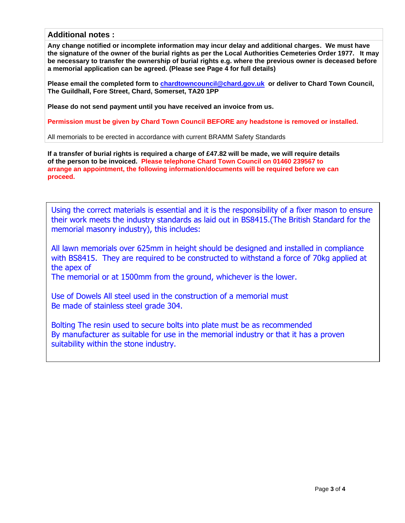## **Additional notes :**

**Any change notified or incomplete information may incur delay and additional charges. We must have the signature of the owner of the burial rights as per the Local Authorities Cemeteries Order 1977. It may be necessary to transfer the ownership of burial rights e.g. where the previous owner is deceased before a memorial application can be agreed. (Please see Page 4 for full details)**

**Please email the completed form to [chardtowncouncil@chard.gov.uk](mailto:chardtowncouncil@chard.gov.uk) or deliver to Chard Town Council, The Guildhall, Fore Street, Chard, Somerset, TA20 1PP**

**Please do not send payment until you have received an invoice from us.**

**Permission must be given by Chard Town Council BEFORE any headstone is removed or installed.**

All memorials to be erected in accordance with current BRAMM Safety Standards

**If a transfer of burial rights is required a charge of £47.82 will be made, we will require details of the person to be invoiced. Please telephone Chard Town Council on 01460 239567 to arrange an appointment, the following information/documents will be required before we can proceed.**

Using the correct materials is essential and it is the responsibility of a fixer mason to ensure their work meets the industry standards as laid out in BS8415.(The British Standard for the memorial masonry industry), this includes:

All lawn memorials over 625mm in height should be designed and installed in compliance with BS8415. They are required to be constructed to withstand a force of 70kg applied at the apex of

The memorial or at 1500mm from the ground, whichever is the lower.

Use of Dowels All steel used in the construction of a memorial must Be made of stainless steel grade 304.

Bolting The resin used to secure bolts into plate must be as recommended By manufacturer as suitable for use in the memorial industry or that it has a proven suitability within the stone industry.